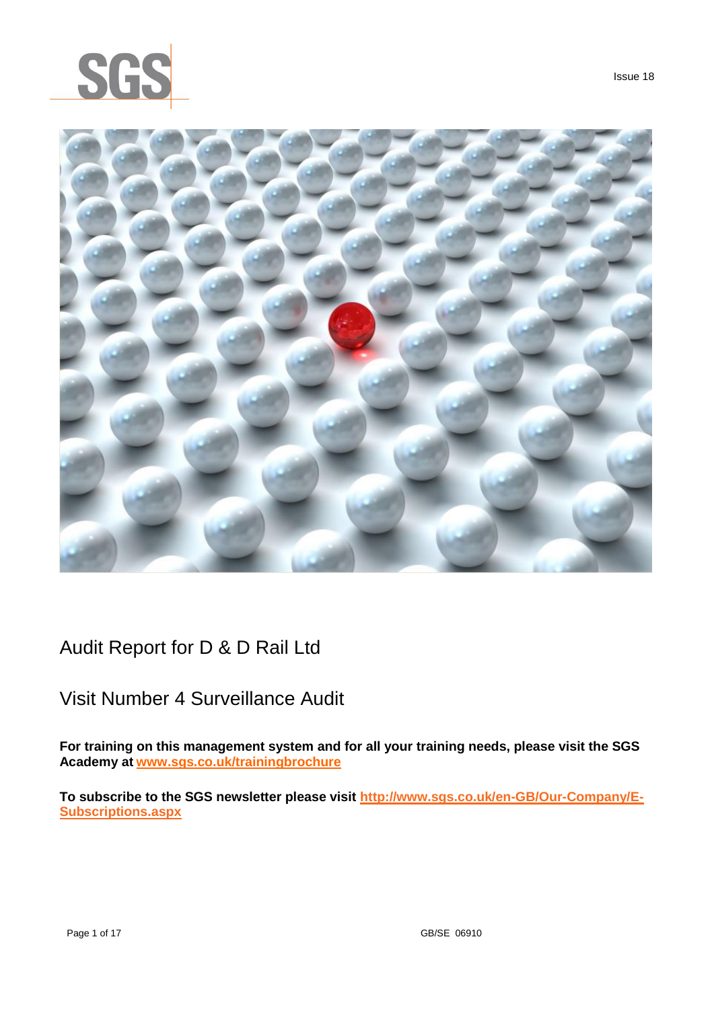



Issue 18

Audit Report for D & D Rail Ltd

# Visit Number 4 Surveillance Audit

**For training on this management system and for all your training needs, please visit the SGS Academy at [www.sgs.co.uk/trainingbrochure](http://www.sgs.co.uk/trainingbrochure)**

**To subscribe to the SGS newsletter please visit [http://www.sgs.co.uk/en-GB/Our-Company/E-](http://www.sgs.co.uk/en-GB/Our-Company/E-Subscriptions.aspx)[Subscriptions.aspx](http://www.sgs.co.uk/en-GB/Our-Company/E-Subscriptions.aspx)**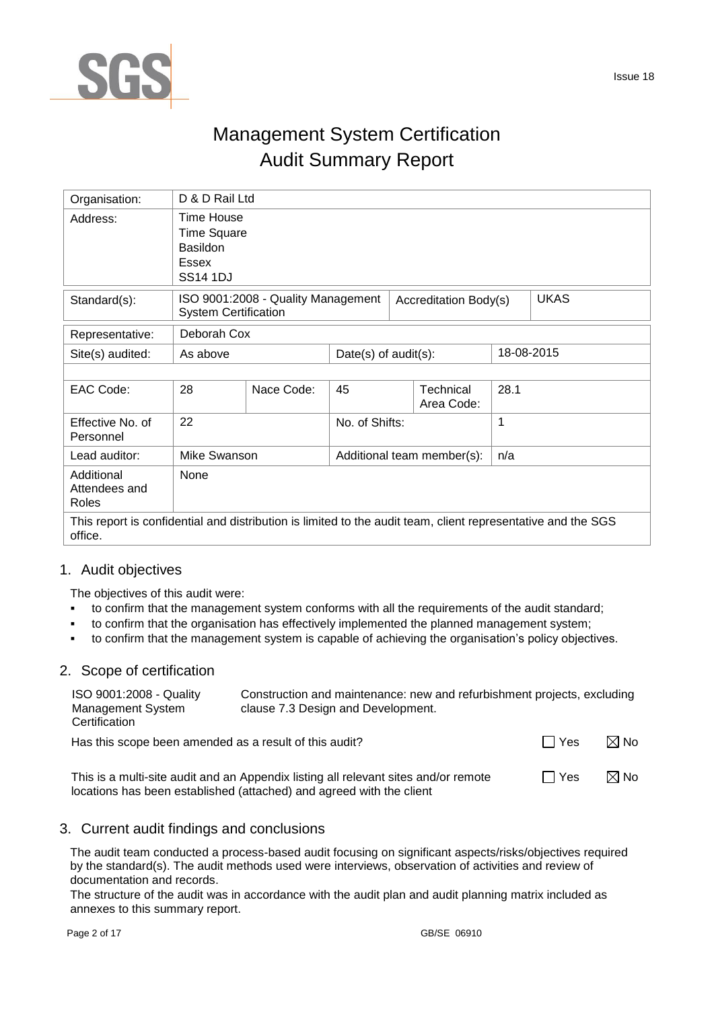

# Management System Certification Audit Summary Report

| Organisation:                                                                                                           | D & D Rail Ltd                                                                         |                                    |                |                            |      |             |
|-------------------------------------------------------------------------------------------------------------------------|----------------------------------------------------------------------------------------|------------------------------------|----------------|----------------------------|------|-------------|
| Address:                                                                                                                | Time House<br><b>Time Square</b><br><b>Basildon</b><br><b>Essex</b><br><b>SS14 1DJ</b> |                                    |                |                            |      |             |
| Standard(s):                                                                                                            | <b>System Certification</b>                                                            | ISO 9001:2008 - Quality Management |                | Accreditation Body(s)      |      | <b>UKAS</b> |
| Representative:                                                                                                         | Deborah Cox                                                                            |                                    |                |                            |      |             |
| Site(s) audited:                                                                                                        | 18-08-2015<br>Date(s) of $audit(s)$ :<br>As above                                      |                                    |                |                            |      |             |
|                                                                                                                         |                                                                                        |                                    |                |                            |      |             |
| EAC Code:                                                                                                               | 28                                                                                     | Nace Code:                         | 45             | Technical<br>Area Code:    | 28.1 |             |
| Effective No. of<br>Personnel                                                                                           | 22                                                                                     |                                    | No. of Shifts: |                            | 1    |             |
| Lead auditor:                                                                                                           | Mike Swanson                                                                           |                                    |                | Additional team member(s): | n/a  |             |
| Additional<br>Attendees and<br>Roles                                                                                    | None                                                                                   |                                    |                |                            |      |             |
| This report is confidential and distribution is limited to the audit team, client representative and the SGS<br>office. |                                                                                        |                                    |                |                            |      |             |

## 1. Audit objectives

The objectives of this audit were:

- to confirm that the management system conforms with all the requirements of the audit standard;
- to confirm that the organisation has effectively implemented the planned management system;
- to confirm that the management system is capable of achieving the organisation's policy objectives.

## 2. Scope of certification

| ISO 9001:2008 - Quality<br><b>Management System</b><br>Certification | Construction and maintenance: new and refurbishment projects, excluding<br>clause 7.3 Design and Development. |       |                |  |  |
|----------------------------------------------------------------------|---------------------------------------------------------------------------------------------------------------|-------|----------------|--|--|
| Has this scope been amended as a result of this audit?               |                                                                                                               | l Yes | $\boxtimes$ No |  |  |
|                                                                      | This is a multi-site audit and an Appendix listing all relevant sites and/or remote                           | Yes   | $\boxtimes$ No |  |  |

# 3. Current audit findings and conclusions

locations has been established (attached) and agreed with the client

The audit team conducted a process-based audit focusing on significant aspects/risks/objectives required by the standard(s). The audit methods used were interviews, observation of activities and review of documentation and records.

The structure of the audit was in accordance with the audit plan and audit planning matrix included as annexes to this summary report.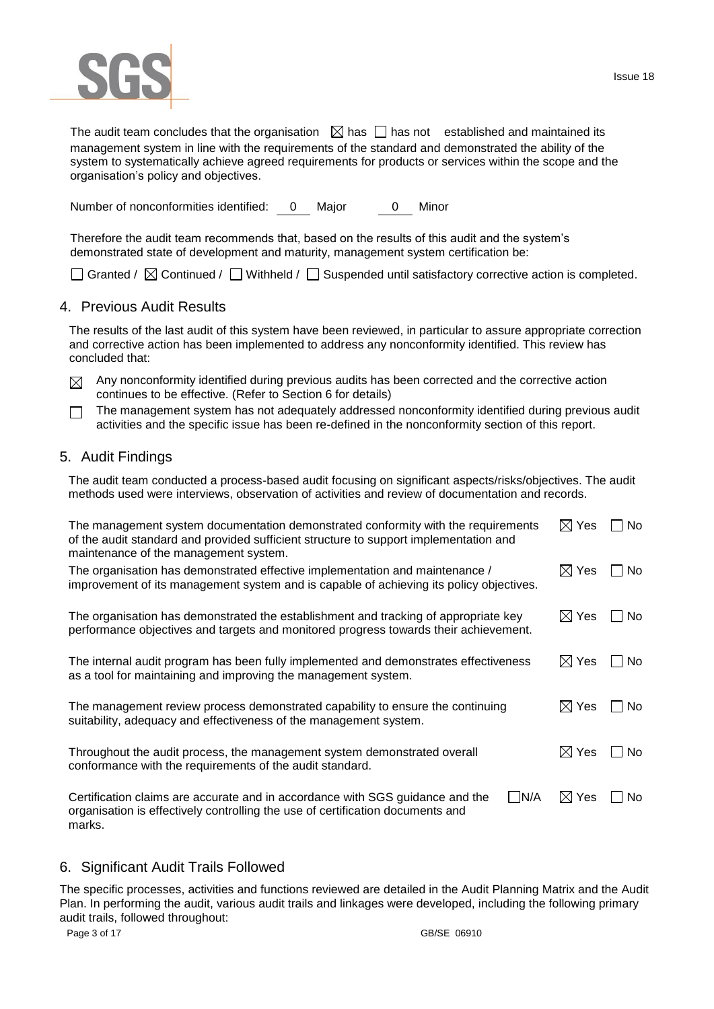

The audit team concludes that the organisation  $\Box$  has  $\Box$  has not established and maintained its management system in line with the requirements of the standard and demonstrated the ability of the system to systematically achieve agreed requirements for products or services within the scope and the organisation's policy and objectives.

Number of nonconformities identified: 0 Major 0 Minor

Therefore the audit team recommends that, based on the results of this audit and the system's demonstrated state of development and maturity, management system certification be:

 $\Box$  Granted /  $\boxtimes$  Continued /  $\Box$  Withheld /  $\Box$  Suspended until satisfactory corrective action is completed.

### 4. Previous Audit Results

The results of the last audit of this system have been reviewed, in particular to assure appropriate correction and corrective action has been implemented to address any nonconformity identified. This review has concluded that:

- $\boxtimes$  Any nonconformity identified during previous audits has been corrected and the corrective action continues to be effective. (Refer to Section 6 for details)
- The management system has not adequately addressed nonconformity identified during previous audit  $\Box$ activities and the specific issue has been re-defined in the nonconformity section of this report.

## 5. Audit Findings

The audit team conducted a process-based audit focusing on significant aspects/risks/objectives. The audit methods used were interviews, observation of activities and review of documentation and records.

| The management system documentation demonstrated conformity with the requirements<br>of the audit standard and provided sufficient structure to support implementation and<br>maintenance of the management system. | $\boxtimes$ Yes | No.  |
|---------------------------------------------------------------------------------------------------------------------------------------------------------------------------------------------------------------------|-----------------|------|
| The organisation has demonstrated effective implementation and maintenance /<br>improvement of its management system and is capable of achieving its policy objectives.                                             | $\boxtimes$ Yes | No.  |
| The organisation has demonstrated the establishment and tracking of appropriate key<br>performance objectives and targets and monitored progress towards their achievement.                                         | $\boxtimes$ Yes | ∣No  |
| The internal audit program has been fully implemented and demonstrates effectiveness<br>as a tool for maintaining and improving the management system.                                                              | $\boxtimes$ Yes | No.  |
| The management review process demonstrated capability to ensure the continuing<br>suitability, adequacy and effectiveness of the management system.                                                                 | $\boxtimes$ Yes | ⊟ No |
| Throughout the audit process, the management system demonstrated overall<br>conformance with the requirements of the audit standard.                                                                                | $\boxtimes$ Yes | No.  |
| $\Box$ N/A<br>Certification claims are accurate and in accordance with SGS guidance and the<br>organisation is effectively controlling the use of certification documents and<br>marks.                             | $\boxtimes$ Yes | No   |

### 6. Significant Audit Trails Followed

The specific processes, activities and functions reviewed are detailed in the Audit Planning Matrix and the Audit Plan. In performing the audit, various audit trails and linkages were developed, including the following primary audit trails, followed throughout: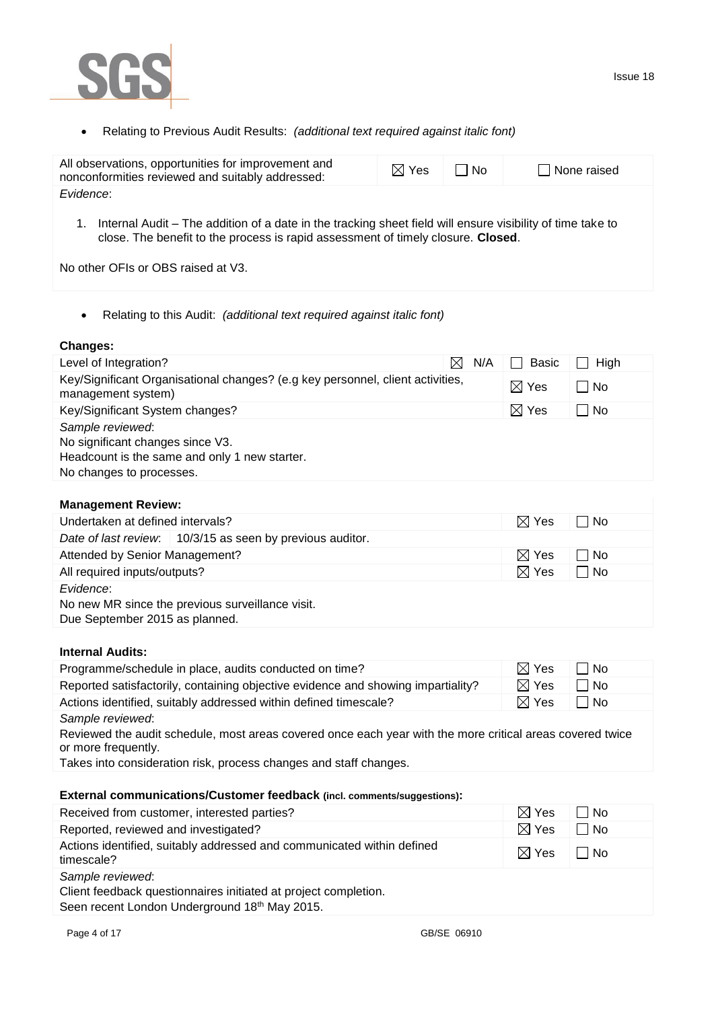

Relating to Previous Audit Results: *(additional text required against italic font)*

| All observations, opportunities for improvement and<br>nonconformities reviewed and suitably addressed:    | $\boxtimes$ Yes | l I No | None raised |
|------------------------------------------------------------------------------------------------------------|-----------------|--------|-------------|
| Evidence:                                                                                                  |                 |        |             |
| Internal Audit – The addition of a date in the tracking sheet field will ensure visibility of time take to |                 |        |             |

close. The benefit to the process is rapid assessment of timely closure. **Closed**.

No other OFIs or OBS raised at V3.

Relating to this Audit: *(additional text required against italic font)*

### **Changes:**

| Level of Integration?                                                                                                             | $\boxtimes$<br>N/A | Basic           | High |
|-----------------------------------------------------------------------------------------------------------------------------------|--------------------|-----------------|------|
| Key/Significant Organisational changes? (e.g key personnel, client activities,<br>management system)                              |                    | $\boxtimes$ Yes | l No |
| Key/Significant System changes?                                                                                                   |                    | $\boxtimes$ Yes | l No |
| Sample reviewed:<br>No significant changes since V3.<br>Headcount is the same and only 1 new starter.<br>No changes to processes. |                    |                 |      |

# **Management Review:**

| Undertaken at defined intervals?                                                                | $\boxtimes$ Yes | No   |
|-------------------------------------------------------------------------------------------------|-----------------|------|
| Date of last review. 10/3/15 as seen by previous auditor.                                       |                 |      |
| Attended by Senior Management?                                                                  | $\boxtimes$ Yes | No   |
| All required inputs/outputs?                                                                    | $\boxtimes$ Yes | l No |
| Evidence:<br>No new MR since the previous surveillance visit.<br>Due September 2015 as planned. |                 |      |

## **Internal Audits:**

| Programme/schedule in place, audits conducted on time?                                                    | $\boxtimes$ Yes | l No |
|-----------------------------------------------------------------------------------------------------------|-----------------|------|
| Reported satisfactorily, containing objective evidence and showing impartiality?                          | $\boxtimes$ Yes | l No |
| Actions identified, suitably addressed within defined timescale?                                          | $\boxtimes$ Yes | l No |
| Sample reviewed:                                                                                          |                 |      |
| Reviewed the audit schedule, most areas covered once each year with the more critical areas covered twice |                 |      |

or more frequently.

Takes into consideration risk, process changes and staff changes.

### **External communications/Customer feedback (incl. comments/suggestions):**

| Received from customer, interested parties?                                                                                          | $\boxtimes$ Yes | No   |
|--------------------------------------------------------------------------------------------------------------------------------------|-----------------|------|
| Reported, reviewed and investigated?                                                                                                 | $\boxtimes$ Yes | □ No |
| Actions identified, suitably addressed and communicated within defined<br>timescale?                                                 | $\boxtimes$ Yes | l No |
| Sample reviewed:<br>Client feedback questionnaires initiated at project completion.<br>Seen recent London Underground 18th May 2015. |                 |      |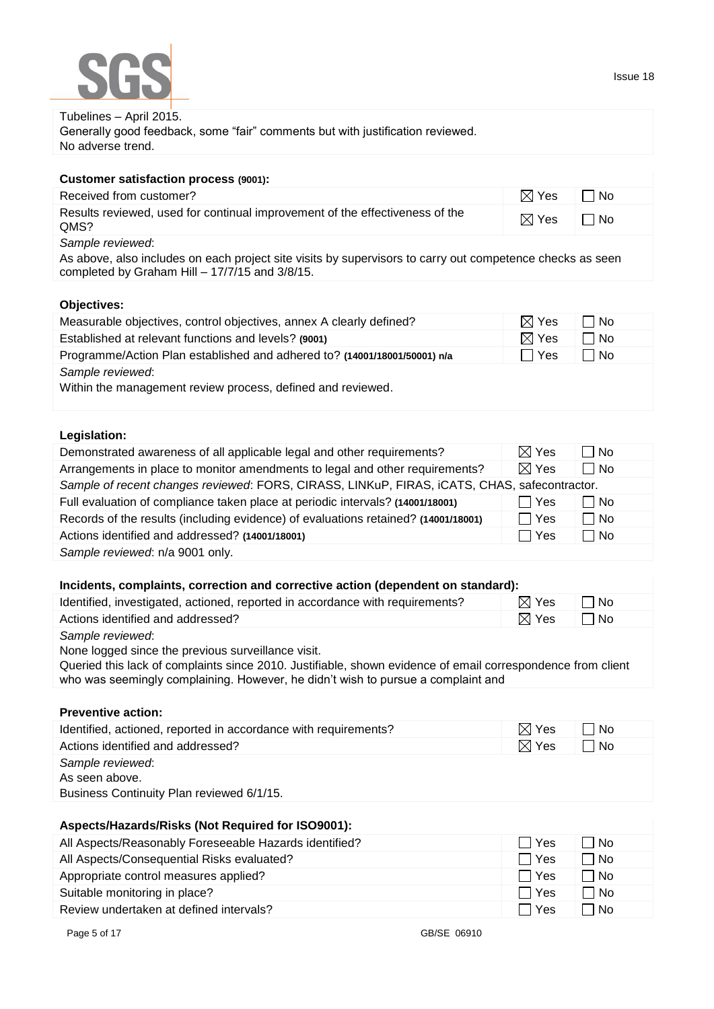| DUR                                                                                                                                                                             |                 | 1554 <del>e</del> 16 |
|---------------------------------------------------------------------------------------------------------------------------------------------------------------------------------|-----------------|----------------------|
| Tubelines - April 2015.<br>Generally good feedback, some "fair" comments but with justification reviewed.                                                                       |                 |                      |
| No adverse trend.                                                                                                                                                               |                 |                      |
| <b>Customer satisfaction process (9001):</b>                                                                                                                                    |                 |                      |
| Received from customer?                                                                                                                                                         | $\boxtimes$ Yes | $\Box$ No            |
| Results reviewed, used for continual improvement of the effectiveness of the<br>QMS?                                                                                            | $\boxtimes$ Yes | $\Box$ No            |
| Sample reviewed:<br>As above, also includes on each project site visits by supervisors to carry out competence checks as seen<br>completed by Graham Hill - 17/7/15 and 3/8/15. |                 |                      |

## **Objectives:**

COC

| Measurable objectives, control objectives, annex A clearly defined?             | $\boxtimes$ Yes | l No |
|---------------------------------------------------------------------------------|-----------------|------|
| Established at relevant functions and levels? (9001)                            | $\boxtimes$ Yes | ⊟ No |
| Programme/Action Plan established and adhered to? (14001/18001/50001) n/a       | □ Yes           | □ No |
| Sample reviewed:<br>Within the management review process, defined and reviewed. |                 |      |

### **Legislation:**

| Demonstrated awareness of all applicable legal and other requirements?                       | $\boxtimes$ Yes | No          |
|----------------------------------------------------------------------------------------------|-----------------|-------------|
| Arrangements in place to monitor amendments to legal and other requirements?                 | $\boxtimes$ Yes | $\sqcap$ No |
| Sample of recent changes reviewed: FORS, CIRASS, LINKuP, FIRAS, iCATS, CHAS, safecontractor. |                 |             |
| Full evaluation of compliance taken place at periodic intervals? (14001/18001)               | ∣ Yes           | l No        |
| Records of the results (including evidence) of evaluations retained? (14001/18001)           | l Yes           | $\Box$ No   |
| Actions identified and addressed? (14001/18001)                                              | □ Yes           | ∩ No        |
| Sample reviewed: n/a 9001 only.                                                              |                 |             |

| Incidents, complaints, correction and corrective action (dependent on standard): |                 |                   |  |
|----------------------------------------------------------------------------------|-----------------|-------------------|--|
| Identified, investigated, actioned, reported in accordance with requirements?    | $\boxtimes$ Yes | ⊥ I No            |  |
| Actions identified and addressed?                                                | $\boxtimes$ Yes | l IN <sub>O</sub> |  |
| Sample reviewed:                                                                 |                 |                   |  |

None logged since the previous surveillance visit.

Queried this lack of complaints since 2010. Justifiable, shown evidence of email correspondence from client who was seemingly complaining. However, he didn't wish to pursue a complaint and

### **Preventive action:**

| Identified, actioned, reported in accordance with requirements?                 | $\boxtimes$ Yes | l No |  |
|---------------------------------------------------------------------------------|-----------------|------|--|
| Actions identified and addressed?                                               | $\boxtimes$ Yes | l No |  |
| Sample reviewed:<br>As seen above.<br>Business Continuity Plan reviewed 6/1/15. |                 |      |  |

### **Aspects/Hazards/Risks (Not Required for ISO9001):**

| All Aspects/Reasonably Foreseeable Hazards identified? | <b>Yes</b> | l No        |
|--------------------------------------------------------|------------|-------------|
| All Aspects/Consequential Risks evaluated?             | Yes        | $\sqcap$ No |
| Appropriate control measures applied?                  | l l Yes    | $\sqcap$ No |
| Suitable monitoring in place?                          | Yes        | $\Box$ No   |
| Review undertaken at defined intervals?                | Yes        | ∃ No        |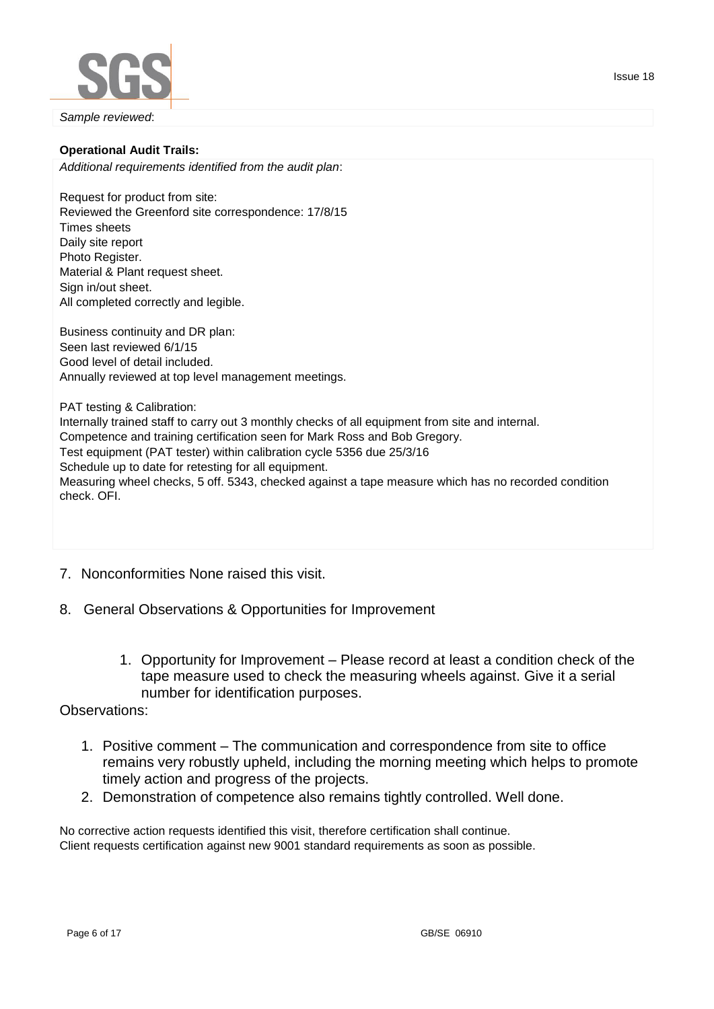

### **Operational Audit Trails:**

*Additional requirements identified from the audit plan*:

Request for product from site: Reviewed the Greenford site correspondence: 17/8/15 Times sheets Daily site report Photo Register. Material & Plant request sheet. Sign in/out sheet. All completed correctly and legible.

Business continuity and DR plan: Seen last reviewed 6/1/15 Good level of detail included. Annually reviewed at top level management meetings.

PAT testing & Calibration: Internally trained staff to carry out 3 monthly checks of all equipment from site and internal. Competence and training certification seen for Mark Ross and Bob Gregory. Test equipment (PAT tester) within calibration cycle 5356 due 25/3/16 Schedule up to date for retesting for all equipment. Measuring wheel checks, 5 off. 5343, checked against a tape measure which has no recorded condition check. OFI.

- 7. Nonconformities None raised this visit.
- 8. General Observations & Opportunities for Improvement
	- 1. Opportunity for Improvement Please record at least a condition check of the tape measure used to check the measuring wheels against. Give it a serial number for identification purposes.

### Observations:

- 1. Positive comment The communication and correspondence from site to office remains very robustly upheld, including the morning meeting which helps to promote timely action and progress of the projects.
- 2. Demonstration of competence also remains tightly controlled. Well done.

No corrective action requests identified this visit, therefore certification shall continue. Client requests certification against new 9001 standard requirements as soon as possible.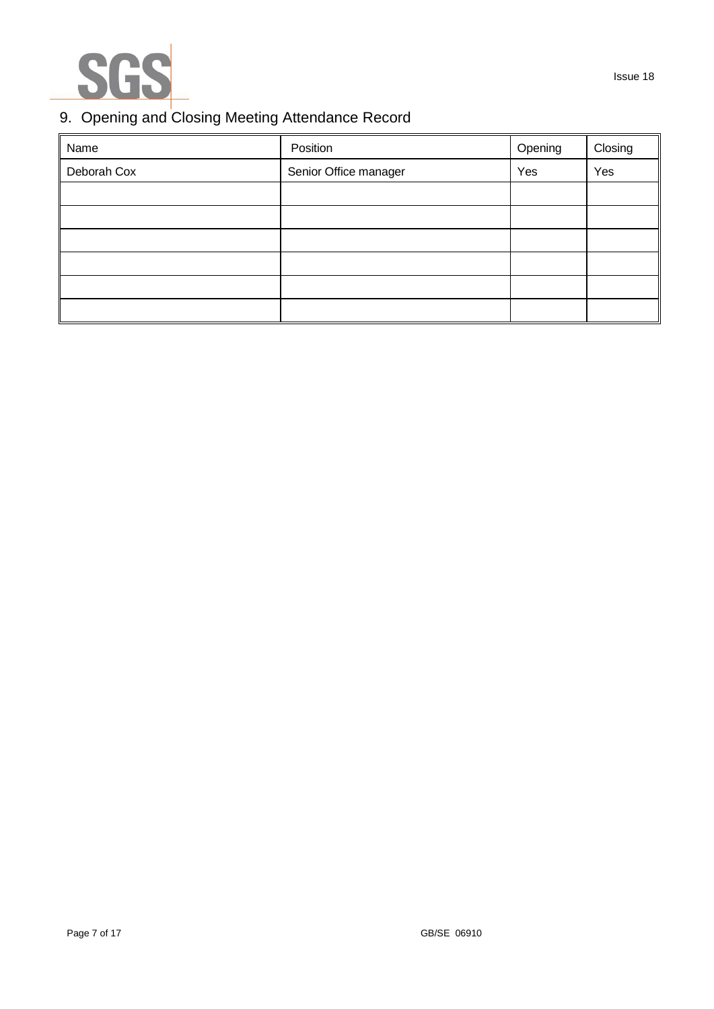

## Issue 18

# 9. Opening and Closing Meeting Attendance Record

| Name        | Position              | Opening | Closing |
|-------------|-----------------------|---------|---------|
| Deborah Cox | Senior Office manager | Yes     | Yes     |
|             |                       |         |         |
|             |                       |         |         |
|             |                       |         |         |
|             |                       |         |         |
|             |                       |         |         |
|             |                       |         |         |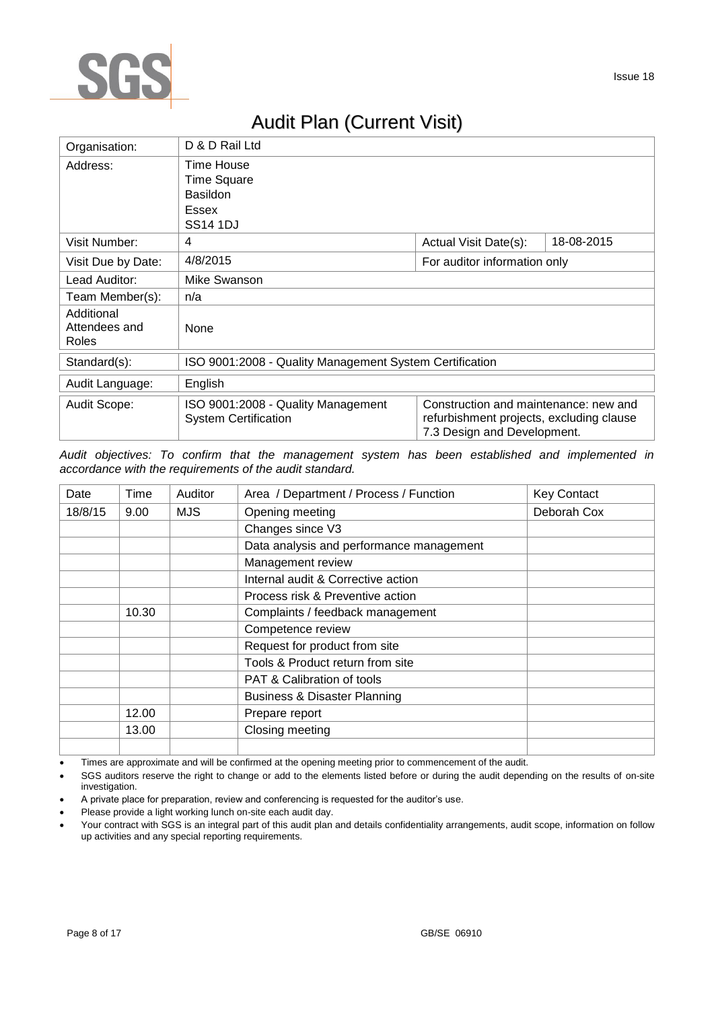

# Audit Plan (Current Visit)

| Organisation:                        | D & D Rail Ltd                                                    |                                                                                                                  |            |  |  |
|--------------------------------------|-------------------------------------------------------------------|------------------------------------------------------------------------------------------------------------------|------------|--|--|
| Address:                             | Time House<br><b>Time Square</b><br><b>Basildon</b>               |                                                                                                                  |            |  |  |
|                                      | Essex                                                             |                                                                                                                  |            |  |  |
|                                      | SS <sub>14</sub> 1DJ                                              |                                                                                                                  |            |  |  |
| Visit Number:                        | 4                                                                 | Actual Visit Date(s):                                                                                            | 18-08-2015 |  |  |
| Visit Due by Date:                   | 4/8/2015<br>For auditor information only                          |                                                                                                                  |            |  |  |
| Lead Auditor:                        | Mike Swanson                                                      |                                                                                                                  |            |  |  |
| Team Member(s):                      | n/a                                                               |                                                                                                                  |            |  |  |
| Additional<br>Attendees and<br>Roles | None                                                              |                                                                                                                  |            |  |  |
| Standard(s):                         | ISO 9001:2008 - Quality Management System Certification           |                                                                                                                  |            |  |  |
| Audit Language:                      | English                                                           |                                                                                                                  |            |  |  |
| Audit Scope:                         | ISO 9001:2008 - Quality Management<br><b>System Certification</b> | Construction and maintenance: new and<br>refurbishment projects, excluding clause<br>7.3 Design and Development. |            |  |  |

*Audit objectives: To confirm that the management system has been established and implemented in accordance with the requirements of the audit standard.*

| Date    | Time  | Auditor | Area / Department / Process / Function   | <b>Key Contact</b> |
|---------|-------|---------|------------------------------------------|--------------------|
| 18/8/15 | 9.00  | MJS.    | Opening meeting                          | Deborah Cox        |
|         |       |         | Changes since V3                         |                    |
|         |       |         | Data analysis and performance management |                    |
|         |       |         | Management review                        |                    |
|         |       |         | Internal audit & Corrective action       |                    |
|         |       |         | Process risk & Preventive action         |                    |
|         | 10.30 |         | Complaints / feedback management         |                    |
|         |       |         | Competence review                        |                    |
|         |       |         | Request for product from site            |                    |
|         |       |         | Tools & Product return from site         |                    |
|         |       |         | <b>PAT &amp; Calibration of tools</b>    |                    |
|         |       |         | <b>Business &amp; Disaster Planning</b>  |                    |
|         | 12.00 |         | Prepare report                           |                    |
|         | 13.00 |         | Closing meeting                          |                    |
|         |       |         |                                          |                    |

Times are approximate and will be confirmed at the opening meeting prior to commencement of the audit.

 SGS auditors reserve the right to change or add to the elements listed before or during the audit depending on the results of on-site investigation.

A private place for preparation, review and conferencing is requested for the auditor's use.

Please provide a light working lunch on-site each audit day.

Your contract with SGS is an integral part of this audit plan and details confidentiality arrangements, audit scope, information on follow up activities and any special reporting requirements.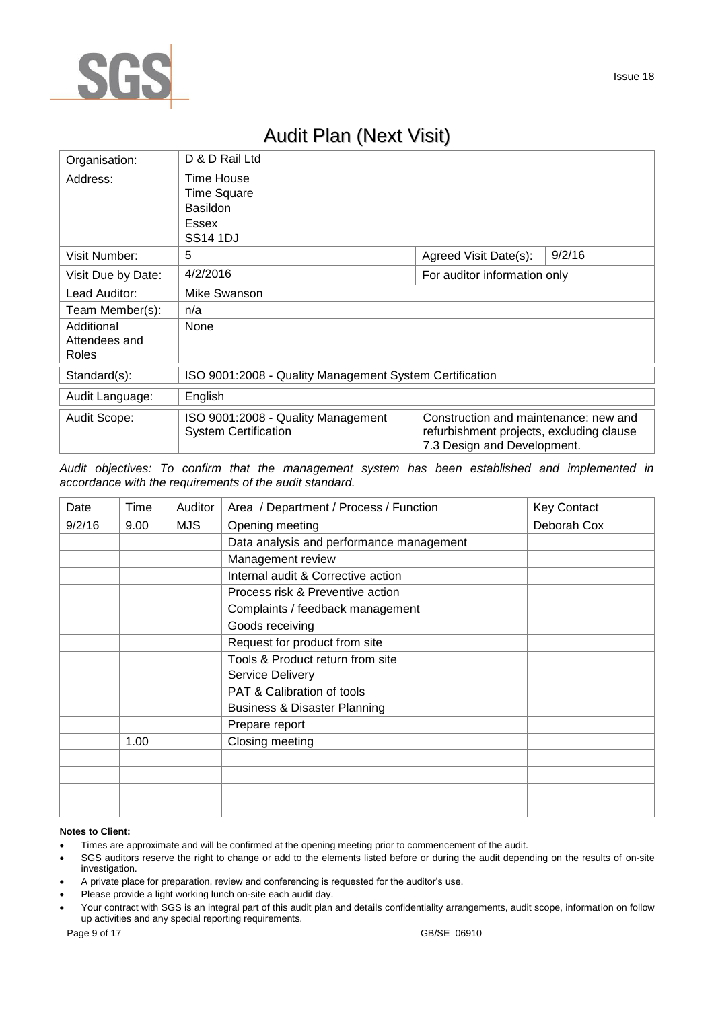

# Audit Plan (Next Visit)

| Organisation:                               | D & D Rail Ltd                                                                  |                                                                                                                  |        |  |
|---------------------------------------------|---------------------------------------------------------------------------------|------------------------------------------------------------------------------------------------------------------|--------|--|
| Address:                                    | Time House<br><b>Time Square</b><br><b>Basildon</b><br>Essex<br><b>SS14 1DJ</b> |                                                                                                                  |        |  |
| Visit Number:                               | 5                                                                               | Agreed Visit Date(s):                                                                                            | 9/2/16 |  |
| Visit Due by Date:                          | 4/2/2016                                                                        | For auditor information only                                                                                     |        |  |
| Lead Auditor:                               | Mike Swanson                                                                    |                                                                                                                  |        |  |
| Team Member(s):                             | n/a                                                                             |                                                                                                                  |        |  |
| Additional<br>Attendees and<br><b>Roles</b> | None                                                                            |                                                                                                                  |        |  |
| Standard(s):                                | ISO 9001:2008 - Quality Management System Certification                         |                                                                                                                  |        |  |
| Audit Language:                             | English                                                                         |                                                                                                                  |        |  |
| Audit Scope:                                | ISO 9001:2008 - Quality Management<br><b>System Certification</b>               | Construction and maintenance: new and<br>refurbishment projects, excluding clause<br>7.3 Design and Development. |        |  |

*Audit objectives: To confirm that the management system has been established and implemented in accordance with the requirements of the audit standard.*

| Date   | Time | Auditor | Area / Department / Process / Function   | <b>Key Contact</b> |
|--------|------|---------|------------------------------------------|--------------------|
| 9/2/16 | 9.00 | MJS.    | Opening meeting                          | Deborah Cox        |
|        |      |         | Data analysis and performance management |                    |
|        |      |         | Management review                        |                    |
|        |      |         | Internal audit & Corrective action       |                    |
|        |      |         | Process risk & Preventive action         |                    |
|        |      |         | Complaints / feedback management         |                    |
|        |      |         | Goods receiving                          |                    |
|        |      |         | Request for product from site            |                    |
|        |      |         | Tools & Product return from site         |                    |
|        |      |         | Service Delivery                         |                    |
|        |      |         | PAT & Calibration of tools               |                    |
|        |      |         | <b>Business &amp; Disaster Planning</b>  |                    |
|        |      |         | Prepare report                           |                    |
|        | 1.00 |         | Closing meeting                          |                    |
|        |      |         |                                          |                    |
|        |      |         |                                          |                    |
|        |      |         |                                          |                    |
|        |      |         |                                          |                    |

#### **Notes to Client:**

- Times are approximate and will be confirmed at the opening meeting prior to commencement of the audit.
- SGS auditors reserve the right to change or add to the elements listed before or during the audit depending on the results of on-site investigation.
- A private place for preparation, review and conferencing is requested for the auditor's use.
- Please provide a light working lunch on-site each audit day.
- Your contract with SGS is an integral part of this audit plan and details confidentiality arrangements, audit scope, information on follow up activities and any special reporting requirements.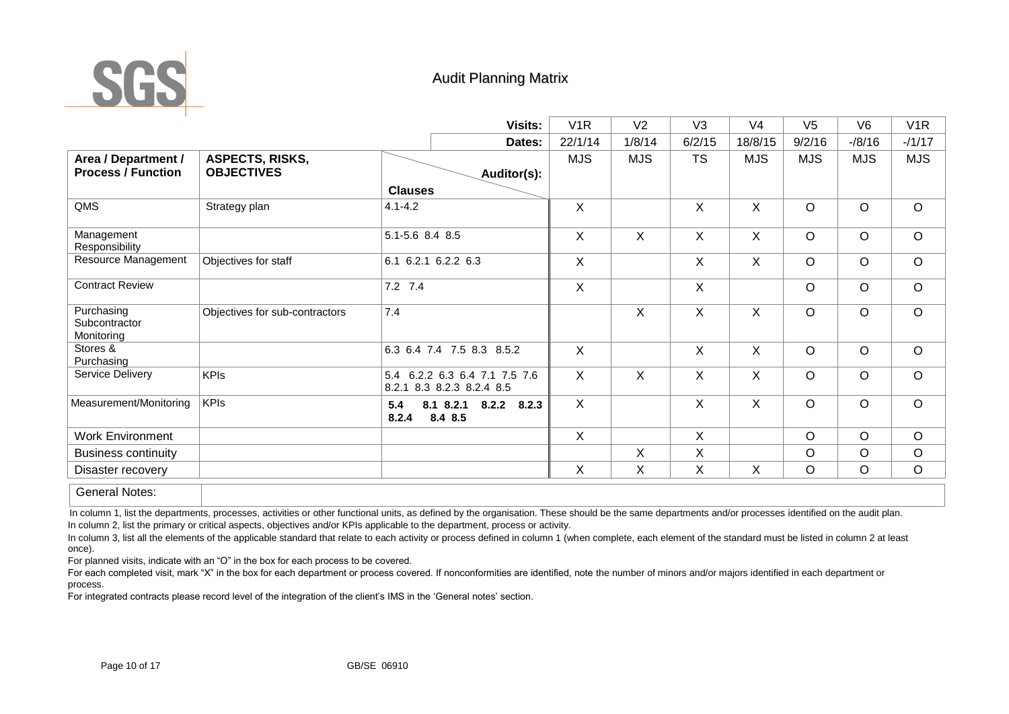

# Audit Planning Matrix

|                                                  |                                      | Visits:                                                    | V <sub>1</sub> R | V <sub>2</sub> | V <sub>3</sub> | V <sub>4</sub> | V <sub>5</sub> | V <sub>6</sub> | V <sub>1</sub> R |
|--------------------------------------------------|--------------------------------------|------------------------------------------------------------|------------------|----------------|----------------|----------------|----------------|----------------|------------------|
|                                                  |                                      | Dates:                                                     | 22/1/14          | 1/8/14         | 6/2/15         | 18/8/15        | 9/2/16         | $-18/16$       | $-1/17$          |
| Area / Department /<br><b>Process / Function</b> | ASPECTS, RISKS,<br><b>OBJECTIVES</b> | Auditor(s):                                                | <b>MJS</b>       | <b>MJS</b>     | <b>TS</b>      | <b>MJS</b>     | <b>MJS</b>     | <b>MJS</b>     | <b>MJS</b>       |
|                                                  |                                      | <b>Clauses</b>                                             |                  |                |                |                |                |                |                  |
| QMS                                              | Strategy plan                        | $4.1 - 4.2$                                                | X                |                | X              | X              | $\circ$        | $\circ$        | $\circ$          |
| Management<br>Responsibility                     |                                      | 5.1-5.6 8.4 8.5                                            | X                | X              | $\mathsf{X}$   | X              | $\circ$        | $\circ$        | $\circ$          |
| Resource Management                              | Objectives for staff                 | 6.1 6.2.1 6.2.2 6.3                                        | $\mathsf{X}$     |                | $\mathsf{X}$   | X              | $\circ$        | $\circ$        | $\circ$          |
| <b>Contract Review</b>                           |                                      | $7.2$ $7.4$                                                | X                |                | X              |                | $\circ$        | $\circ$        | $\circ$          |
| Purchasing<br>Subcontractor<br>Monitoring        | Objectives for sub-contractors       | 7.4                                                        |                  | X              | X              | X              | $\circ$        | $\circ$        | $\circ$          |
| Stores &<br>Purchasing                           |                                      | 6.3 6.4 7.4 7.5 8.3 8.5.2                                  | $\mathsf{X}$     |                | X              | $\mathsf{X}$   | $\circ$        | $\circ$        | $\circ$          |
| Service Delivery                                 | <b>KPIs</b>                          | 5.4 6.2.2 6.3 6.4 7.1 7.5 7.6<br>8.2.1 8.3 8.2.3 8.2.4 8.5 | $\sf X$          | X              | X              | X              | $\circ$        | $\circ$        | $\circ$          |
| Measurement/Monitoring                           | <b>KPIs</b>                          | 8.1 8.2.1 8.2.2<br>8.2.3<br>5.4<br>8.4 8.5<br>8.2.4        | $\sf X$          |                | X              | X              | $\circ$        | $\circ$        | $\circ$          |
| <b>Work Environment</b>                          |                                      |                                                            | $\mathsf{X}$     |                | $\mathsf{X}$   |                | $\circ$        | $\circ$        | $\circ$          |
| <b>Business continuity</b>                       |                                      |                                                            |                  | X              | X              |                | $\circ$        | $\circ$        | $\circ$          |
| Disaster recovery                                |                                      |                                                            | X                | X              | X.             | X              | $\circ$        | $\circ$        | $\circ$          |
| <b>General Notes:</b>                            |                                      |                                                            |                  |                |                |                |                |                |                  |

In column 1, list the departments, processes, activities or other functional units, as defined by the organisation. These should be the same departments and/or processes identified on the audit plan. In column 2, list the primary or critical aspects, objectives and/or KPIs applicable to the department, process or activity.

In column 3, list all the elements of the applicable standard that relate to each activity or process defined in column 1 (when complete, each element of the standard must be listed in column 2 at least once).

For planned visits, indicate with an "O" in the box for each process to be covered.

For each completed visit, mark "X" in the box for each department or process covered. If nonconformities are identified, note the number of minors and/or majors identified in each department or process.

For integrated contracts please record level of the integration of the client's IMS in the 'General notes' section.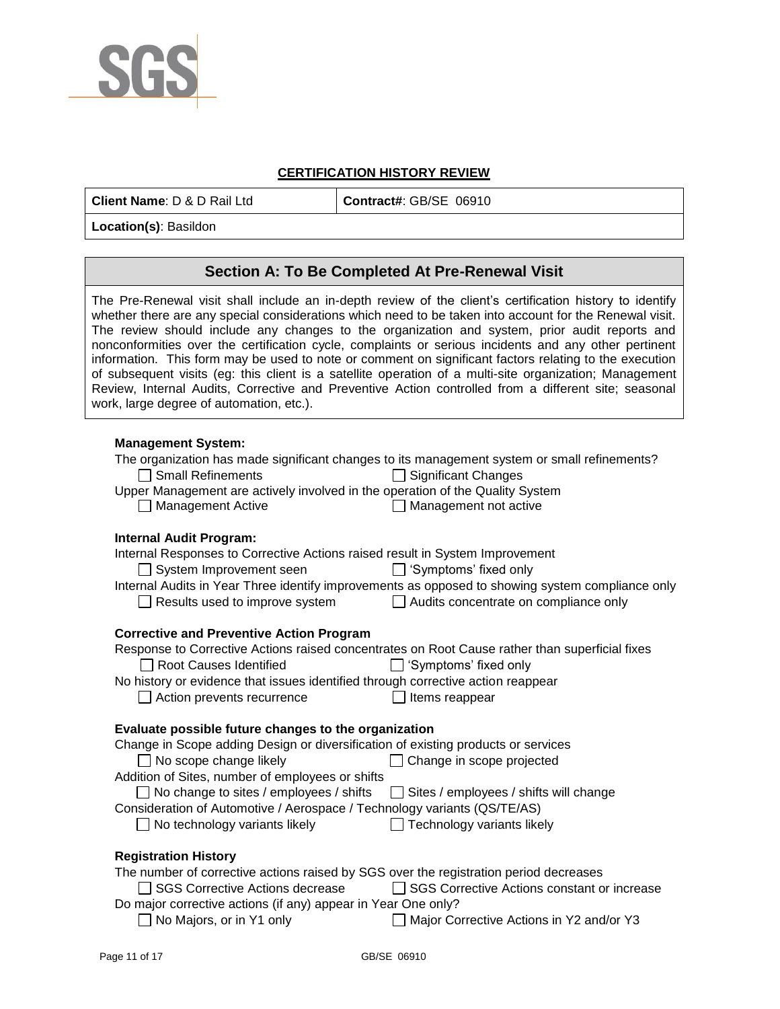

### **CERTIFICATION HISTORY REVIEW**

**Client Name: D & D Rail Ltd**  $\vert$  **Contract#: GB/SE 06910** 

**Location(s)**: Basildon

## **Section A: To Be Completed At Pre-Renewal Visit**

The Pre-Renewal visit shall include an in-depth review of the client's certification history to identify whether there are any special considerations which need to be taken into account for the Renewal visit. The review should include any changes to the organization and system, prior audit reports and nonconformities over the certification cycle, complaints or serious incidents and any other pertinent information. This form may be used to note or comment on significant factors relating to the execution of subsequent visits (eg: this client is a satellite operation of a multi-site organization; Management Review, Internal Audits, Corrective and Preventive Action controlled from a different site; seasonal work, large degree of automation, etc.).

### **Management System:**

| .aagoo oyo.o<br>The organization has made significant changes to its management system or small refinements?<br>$\Box$ Small Refinements<br><b>Significant Changes</b><br>Upper Management are actively involved in the operation of the Quality System |  |
|---------------------------------------------------------------------------------------------------------------------------------------------------------------------------------------------------------------------------------------------------------|--|
| <b>Management Active</b><br>Management not active                                                                                                                                                                                                       |  |
| <b>Internal Audit Program:</b>                                                                                                                                                                                                                          |  |
| Internal Responses to Corrective Actions raised result in System Improvement                                                                                                                                                                            |  |
| $\Box$ 'Symptoms' fixed only<br>$\Box$ System Improvement seen                                                                                                                                                                                          |  |
| Internal Audits in Year Three identify improvements as opposed to showing system compliance only                                                                                                                                                        |  |
| Results used to improve system<br>$\Box$ Audits concentrate on compliance only                                                                                                                                                                          |  |
|                                                                                                                                                                                                                                                         |  |
| <b>Corrective and Preventive Action Program</b>                                                                                                                                                                                                         |  |
| Response to Corrective Actions raised concentrates on Root Cause rather than superficial fixes                                                                                                                                                          |  |
| Root Causes Identified<br>Symptoms' fixed only                                                                                                                                                                                                          |  |
| No history or evidence that issues identified through corrective action reappear                                                                                                                                                                        |  |
| $\Box$ Action prevents recurrence<br>Items reappear                                                                                                                                                                                                     |  |
| Evaluate possible future changes to the organization                                                                                                                                                                                                    |  |
| Change in Scope adding Design or diversification of existing products or services                                                                                                                                                                       |  |
| $\Box$ No scope change likely<br>Change in scope projected                                                                                                                                                                                              |  |
| Addition of Sites, number of employees or shifts                                                                                                                                                                                                        |  |
| □ No change to sites / employees / shifts<br>$\Box$ Sites / employees / shifts will change                                                                                                                                                              |  |
| Consideration of Automotive / Aerospace / Technology variants (QS/TE/AS)                                                                                                                                                                                |  |
| No technology variants likely<br>Technology variants likely<br>$\mathbf{1}$                                                                                                                                                                             |  |
| <b>Registration History</b>                                                                                                                                                                                                                             |  |
| The number of corrective actions raised by SGS over the registration period decreases                                                                                                                                                                   |  |
| □ SGS Corrective Actions constant or increase<br>□ SGS Corrective Actions decrease                                                                                                                                                                      |  |
| Do major corrective actions (if any) appear in Year One only?                                                                                                                                                                                           |  |

No Majors, or in Y1 only  $\Box$  Major Corrective Actions in Y2 and/or Y3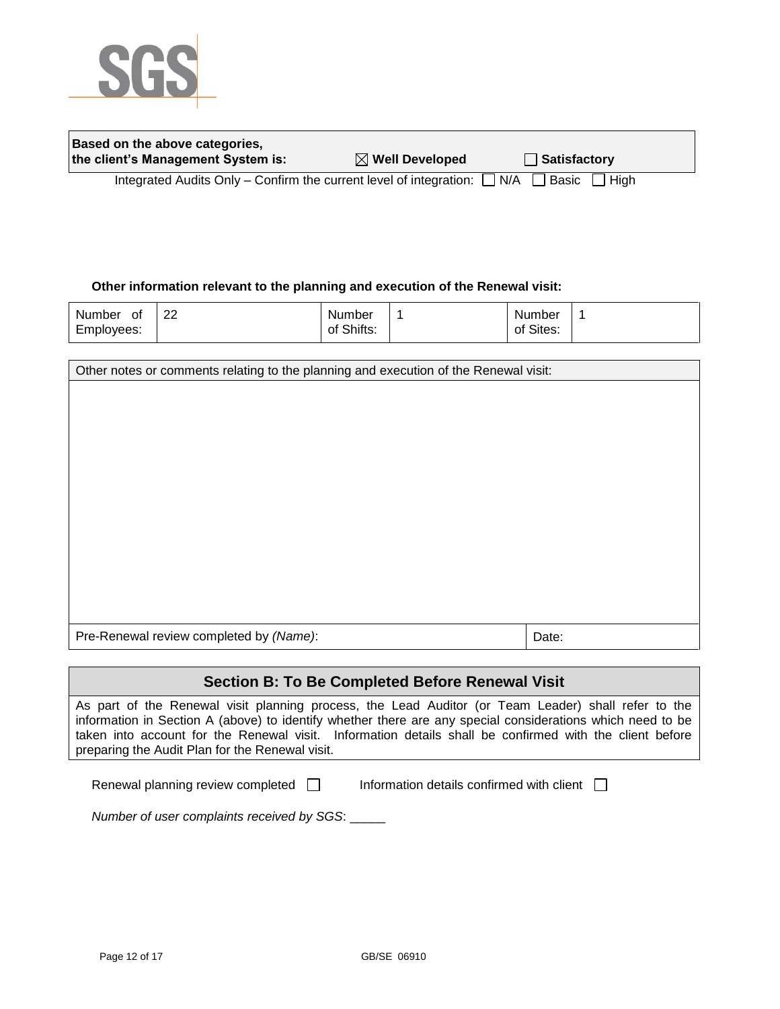

| Based on the above categories,     |                            |              |
|------------------------------------|----------------------------|--------------|
| the client's Management System is: | $\boxtimes$ Well Developed | Satisfactory |
|                                    |                            |              |

Integrated Audits Only – Confirm the current level of integration:  $\Box$  N/A  $\Box$  Basic  $\Box$  High

### **Other information relevant to the planning and execution of the Renewal visit:**

| Number<br>0t | ററ<br>∠∠ | Number     | Number    |  |
|--------------|----------|------------|-----------|--|
| Employees:   |          | of Shifts: | of Sites: |  |

| Other notes or comments relating to the planning and execution of the Renewal visit: |       |  |  |
|--------------------------------------------------------------------------------------|-------|--|--|
|                                                                                      |       |  |  |
|                                                                                      |       |  |  |
|                                                                                      |       |  |  |
|                                                                                      |       |  |  |
|                                                                                      |       |  |  |
|                                                                                      |       |  |  |
|                                                                                      |       |  |  |
|                                                                                      |       |  |  |
|                                                                                      |       |  |  |
|                                                                                      |       |  |  |
| Pre-Renewal review completed by (Name):                                              | Date: |  |  |
|                                                                                      |       |  |  |

### **Section B: To Be Completed Before Renewal Visit**

As part of the Renewal visit planning process, the Lead Auditor (or Team Leader) shall refer to the information in Section A (above) to identify whether there are any special considerations which need to be taken into account for the Renewal visit. Information details shall be confirmed with the client before preparing the Audit Plan for the Renewal visit.

Renewal planning review completed  $\Box$  Information details confirmed with client  $\Box$ 

*Number of user complaints received by SGS*: \_\_\_\_\_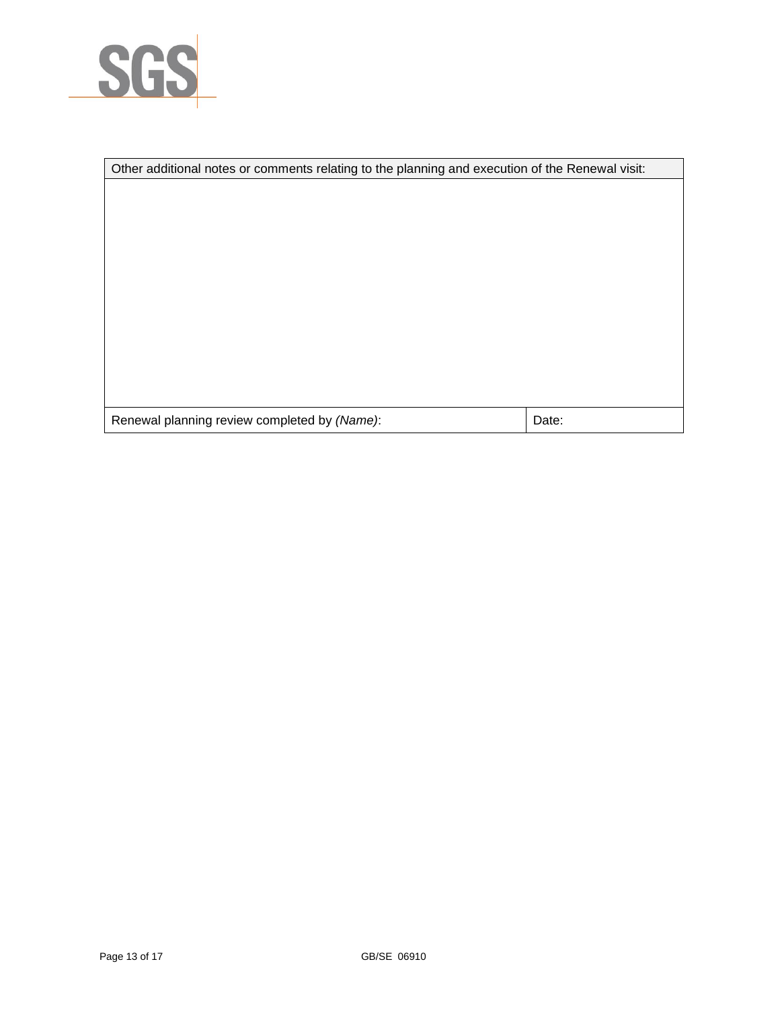

| Other additional notes or comments relating to the planning and execution of the Renewal visit: |       |  |
|-------------------------------------------------------------------------------------------------|-------|--|
|                                                                                                 |       |  |
|                                                                                                 |       |  |
|                                                                                                 |       |  |
|                                                                                                 |       |  |
|                                                                                                 |       |  |
|                                                                                                 |       |  |
|                                                                                                 |       |  |
|                                                                                                 |       |  |
|                                                                                                 |       |  |
|                                                                                                 |       |  |
|                                                                                                 |       |  |
| Renewal planning review completed by (Name):                                                    | Date: |  |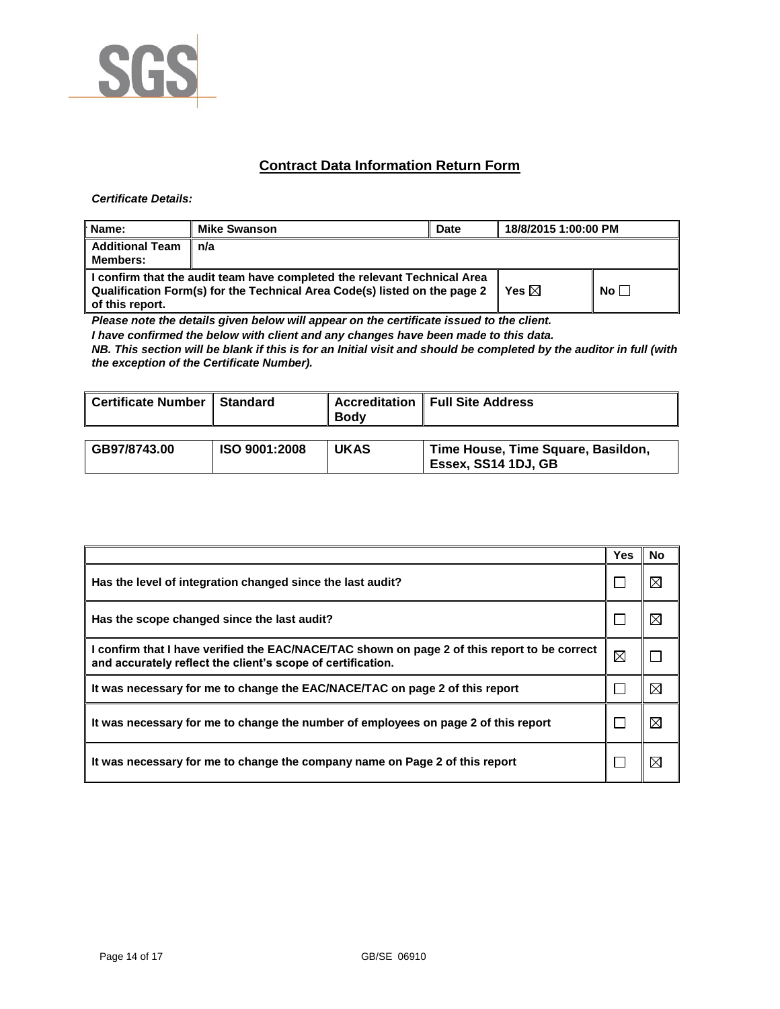

## **Contract Data Information Return Form**

#### *Certificate Details:*

| Name:                                     | <b>Mike Swanson</b>                                                                                                                                   | Date | 18/8/2015 1:00:00 PM |           |
|-------------------------------------------|-------------------------------------------------------------------------------------------------------------------------------------------------------|------|----------------------|-----------|
| <b>Additional Team</b><br><b>Members:</b> | n/a                                                                                                                                                   |      |                      |           |
| of this report.                           | I confirm that the audit team have completed the relevant Technical Area<br>Qualification Form(s) for the Technical Area Code(s) listed on the page 2 |      | Yes $\boxtimes$      | No $\Box$ |

*Please note the details given below will appear on the certificate issued to the client.*

*I have confirmed the below with client and any changes have been made to this data.* 

*NB. This section will be blank if this is for an Initial visit and should be completed by the auditor in full (with the exception of the Certificate Number).* 

| Certificate Number | <b>Standard</b> | <b>Body</b> | <b>Accreditation   Full Site Address</b>                  |
|--------------------|-----------------|-------------|-----------------------------------------------------------|
| GB97/8743.00       | ISO 9001:2008   | <b>UKAS</b> | Time House, Time Square, Basildon,<br>Essex, SS14 1DJ, GB |

|                                                                                                                                                             | Yes | No |
|-------------------------------------------------------------------------------------------------------------------------------------------------------------|-----|----|
| Has the level of integration changed since the last audit?                                                                                                  |     |    |
| Has the scope changed since the last audit?                                                                                                                 |     |    |
| I confirm that I have verified the EAC/NACE/TAC shown on page 2 of this report to be correct<br>and accurately reflect the client's scope of certification. | ⊠   |    |
| It was necessary for me to change the EAC/NACE/TAC on page 2 of this report                                                                                 |     | ⊠  |
| It was necessary for me to change the number of employees on page 2 of this report                                                                          |     |    |
| It was necessary for me to change the company name on Page 2 of this report                                                                                 |     |    |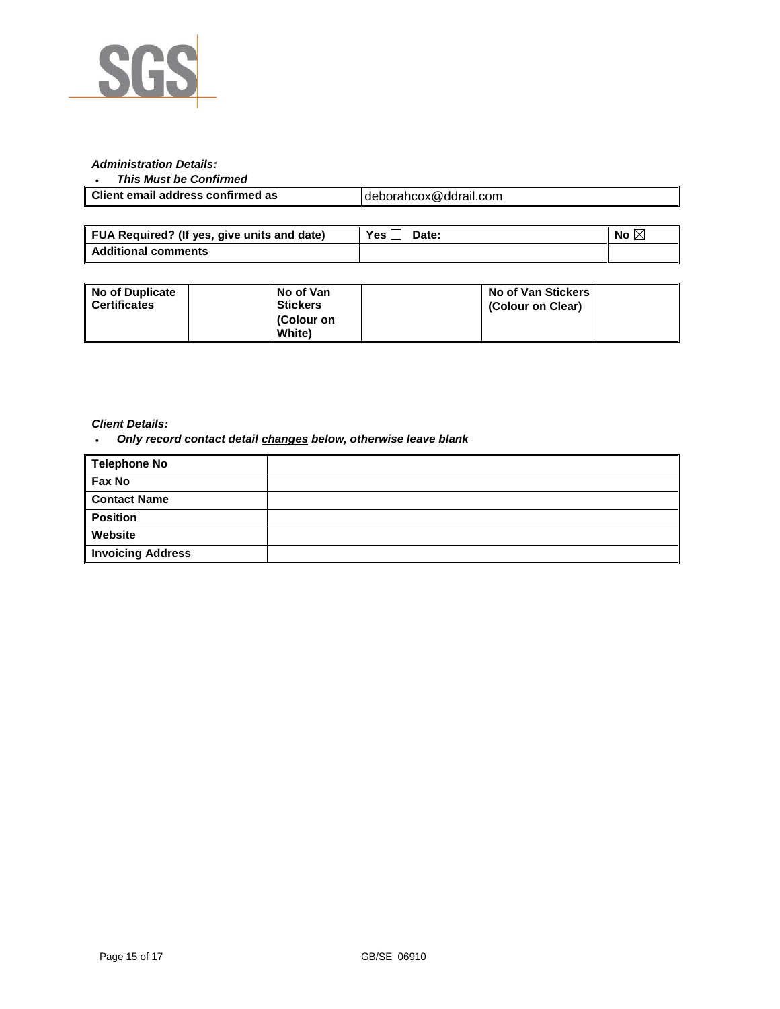

#### *Administration Details:*

#### *This Must be Confirmed*

| Client email address confirmed as | deborahcox@ddrail.com |
|-----------------------------------|-----------------------|
|                                   |                       |

| FUA Required? (If yes, give units and date) | Yes,<br>Date: | No |
|---------------------------------------------|---------------|----|
| <b>Additional comments</b>                  |               |    |

| <b>No of Duplicate</b><br><b>Certificates</b> | No of Van<br><b>Stickers</b><br>(Colour on |  | No of Van Stickers<br>(Colour on Clear) |  |
|-----------------------------------------------|--------------------------------------------|--|-----------------------------------------|--|
|                                               | <b>White</b> )                             |  |                                         |  |

#### *Client Details:*

*Only record contact detail changes below, otherwise leave blank*

| <b>Telephone No</b>      |  |
|--------------------------|--|
| Fax No                   |  |
| <b>Contact Name</b>      |  |
| <b>Position</b>          |  |
| Website                  |  |
| <b>Invoicing Address</b> |  |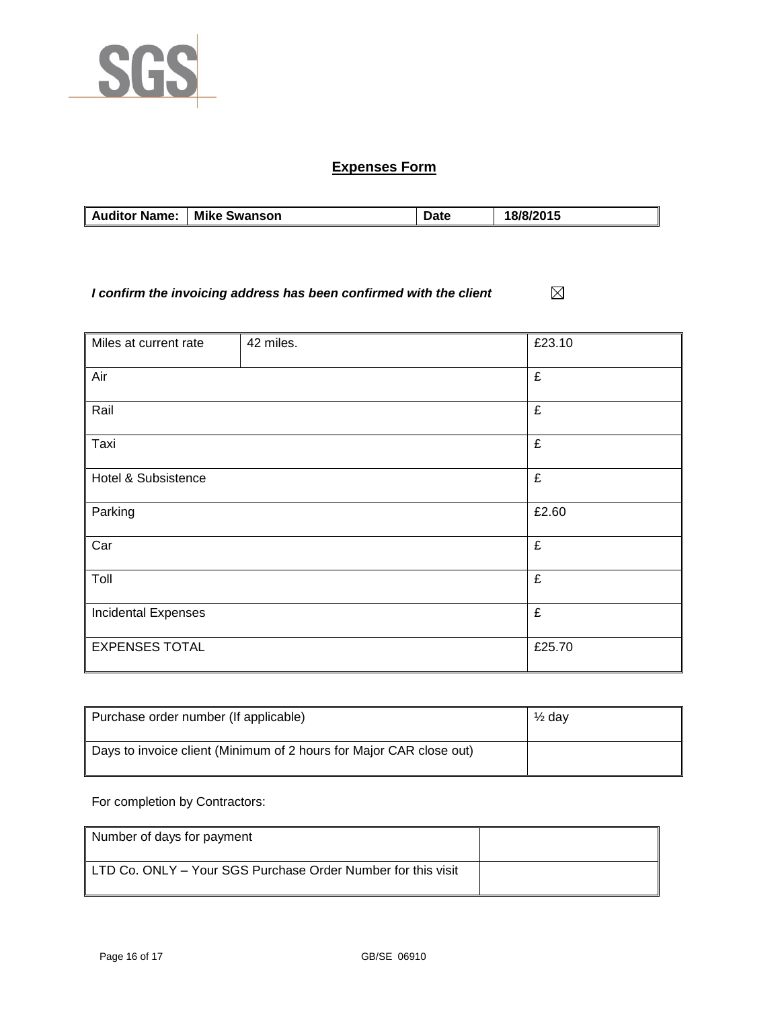

# **Expenses Form**

| <b>Auditor Name:</b> | <b>Mike Swanson</b> | Date | 18/8/2015 |
|----------------------|---------------------|------|-----------|

*I confirm the invoicing address has been confirmed with the client*  $\boxtimes$ 

| Miles at current rate      | 42 miles. | £23.10 |
|----------------------------|-----------|--------|
|                            |           |        |
| Air                        |           | £      |
|                            |           |        |
| Rail                       |           | £      |
|                            |           |        |
| Taxi                       |           | £      |
|                            |           |        |
| Hotel & Subsistence        |           | £      |
|                            |           |        |
| Parking                    |           | £2.60  |
|                            |           |        |
| Car                        |           | £      |
|                            |           |        |
| Toll                       |           | £      |
|                            |           | £      |
| <b>Incidental Expenses</b> |           |        |
| <b>EXPENSES TOTAL</b>      |           | £25.70 |
|                            |           |        |

| Purchase order number (If applicable)                               | $\frac{1}{2}$ dav |
|---------------------------------------------------------------------|-------------------|
| Days to invoice client (Minimum of 2 hours for Major CAR close out) |                   |

For completion by Contractors:

| Number of days for payment                                   |  |
|--------------------------------------------------------------|--|
| LTD Co. ONLY – Your SGS Purchase Order Number for this visit |  |